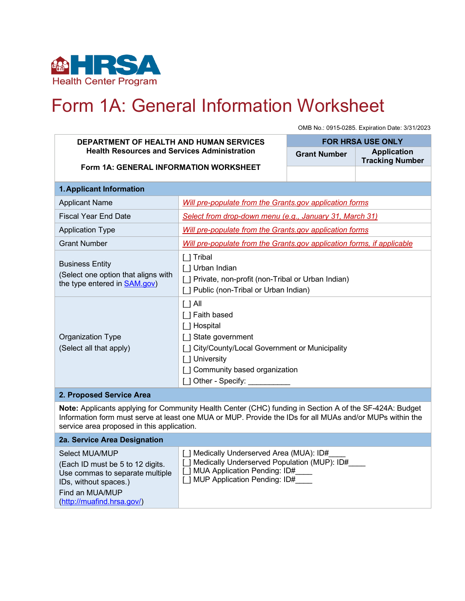

# Form 1A: General Information Worksheet

OMB No.: 0915-0285. Expiration Date: 3/31/2023

#### **DEPARTMENT OF HEALTH AND HUMAN SERVICES Health Resources and Services Administration Form 1A: GENERAL INFORMATION WORKSHEET FOR HRSA USE ONLY Grant Number Application Tracking Number 1.Applicant Information** Applicant Name *Will pre-populate from the Grants.gov application forms* Fiscal Year End Date *Select from drop-down menu (e.g., January 31, March 31)* Application Type *Will pre-populate from the Grants.gov application forms* Grant Number *Will pre-populate from the Grants.gov application forms, if applicable* Business Entity (Select one option that aligns with the type entered in **SAM.gov**) [\_] Tribal [ ] Urban Indian [ ] Private, non-profit (non-Tribal or Urban Indian) [] Public (non-Tribal or Urban Indian) Organization Type (Select all that apply)  $[$   $]$  All [ ] Faith based [ ] Hospital [] State government [ ] City/County/Local Government or Municipality [ ] University [] Community based organization [ ] Other - Specify: **2. Proposed Service Area Note:** Applicants applying for Community Health Center (CHC) funding in Section A of the SF-424A: Budget

Information form must serve at least one MUA or MUP. Provide the IDs for all MUAs and/or MUPs within the service area proposed in this application.

#### **2a. Service Area Designation** Select MUA/MUP (Each ID must be 5 to 12 digits. Use commas to separate multiple IDs, without spaces.) Find an MUA/MUP [\(http://muafind.hrsa.gov/\)](http://muafind.hrsa.gov/) [ ] Medically Underserved Area (MUA): ID# [ ] Medically Underserved Population (MUP): ID# [] MUA Application Pending: ID# [ ] MUP Application Pending: ID#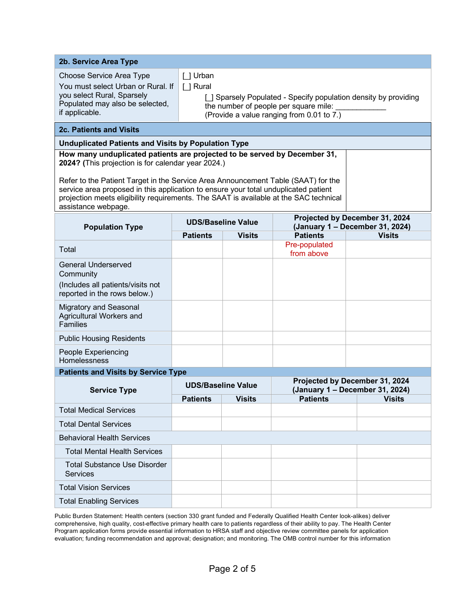| 2b. Service Area Type                                                                                                                                                                                                                                                                                       |                                                                                                                                                                                  |               |                                                                   |               |
|-------------------------------------------------------------------------------------------------------------------------------------------------------------------------------------------------------------------------------------------------------------------------------------------------------------|----------------------------------------------------------------------------------------------------------------------------------------------------------------------------------|---------------|-------------------------------------------------------------------|---------------|
| Choose Service Area Type<br>You must select Urban or Rural. If<br>you select Rural, Sparsely<br>Populated may also be selected,<br>if applicable.                                                                                                                                                           | [ ] Urban<br>[ ] Rural<br>[ ] Sparsely Populated - Specify population density by providing<br>the number of people per square mile:<br>(Provide a value ranging from 0.01 to 7.) |               |                                                                   |               |
| <b>2c. Patients and Visits</b>                                                                                                                                                                                                                                                                              |                                                                                                                                                                                  |               |                                                                   |               |
| <b>Unduplicated Patients and Visits by Population Type</b>                                                                                                                                                                                                                                                  |                                                                                                                                                                                  |               |                                                                   |               |
| How many unduplicated patients are projected to be served by December 31,<br>2024? (This projection is for calendar year 2024.)<br>Refer to the Patient Target in the Service Area Announcement Table (SAAT) for the<br>service area proposed in this application to ensure your total unduplicated patient |                                                                                                                                                                                  |               |                                                                   |               |
| projection meets eligibility requirements. The SAAT is available at the SAC technical<br>assistance webpage.                                                                                                                                                                                                |                                                                                                                                                                                  |               |                                                                   |               |
| <b>Population Type</b>                                                                                                                                                                                                                                                                                      | <b>UDS/Baseline Value</b>                                                                                                                                                        |               | Projected by December 31, 2024<br>(January 1 - December 31, 2024) |               |
|                                                                                                                                                                                                                                                                                                             | <b>Patients</b>                                                                                                                                                                  | <b>Visits</b> | <b>Patients</b>                                                   | <b>Visits</b> |
| Total                                                                                                                                                                                                                                                                                                       |                                                                                                                                                                                  |               | Pre-populated<br>from above                                       |               |
| <b>General Underserved</b><br>Community<br>(Includes all patients/visits not<br>reported in the rows below.)                                                                                                                                                                                                |                                                                                                                                                                                  |               |                                                                   |               |
| Migratory and Seasonal<br>Agricultural Workers and<br><b>Families</b>                                                                                                                                                                                                                                       |                                                                                                                                                                                  |               |                                                                   |               |
| <b>Public Housing Residents</b>                                                                                                                                                                                                                                                                             |                                                                                                                                                                                  |               |                                                                   |               |
| People Experiencing<br><b>Homelessness</b>                                                                                                                                                                                                                                                                  |                                                                                                                                                                                  |               |                                                                   |               |
| <b>Patients and Visits by Service Type</b>                                                                                                                                                                                                                                                                  |                                                                                                                                                                                  |               |                                                                   |               |
| <b>Service Type</b>                                                                                                                                                                                                                                                                                         | <b>UDS/Baseline Value</b>                                                                                                                                                        |               | Projected by December 31, 2024<br>(January 1 - December 31, 2024) |               |
|                                                                                                                                                                                                                                                                                                             | <b>Patients</b>                                                                                                                                                                  | <b>Visits</b> | <b>Patients</b>                                                   | <b>Visits</b> |
| <b>Total Medical Services</b>                                                                                                                                                                                                                                                                               |                                                                                                                                                                                  |               |                                                                   |               |
| <b>Total Dental Services</b>                                                                                                                                                                                                                                                                                |                                                                                                                                                                                  |               |                                                                   |               |
| <b>Behavioral Health Services</b>                                                                                                                                                                                                                                                                           |                                                                                                                                                                                  |               |                                                                   |               |
| <b>Total Mental Health Services</b>                                                                                                                                                                                                                                                                         |                                                                                                                                                                                  |               |                                                                   |               |
| <b>Total Substance Use Disorder</b><br><b>Services</b>                                                                                                                                                                                                                                                      |                                                                                                                                                                                  |               |                                                                   |               |
| <b>Total Vision Services</b>                                                                                                                                                                                                                                                                                |                                                                                                                                                                                  |               |                                                                   |               |
| <b>Total Enabling Services</b>                                                                                                                                                                                                                                                                              |                                                                                                                                                                                  |               |                                                                   |               |

Public Burden Statement: Health centers (section 330 grant funded and Federally Qualified Health Center look-alikes) deliver comprehensive, high quality, cost-effective primary health care to patients regardless of their ability to pay. The Health Center Program application forms provide essential information to HRSA staff and objective review committee panels for application evaluation; funding recommendation and approval; designation; and monitoring. The OMB control number for this information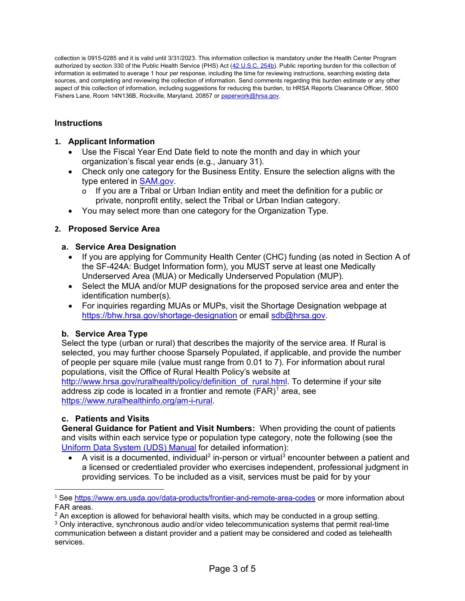collection is 0915-0285 and it is valid until 3/31/2023. This information collection is mandatory under the Health Center Program authorized by section 330 of the Public Health Service (PHS) Act [\(42 U.S.C. 254b\)](http://uscode.house.gov/view.xhtml?req=granuleid:USC-prelim-title42-section254b&num=0&edition=prelim). Public reporting burden for this collection of information is estimated to average 1 hour per response, including the time for reviewing instructions, searching existing data sources, and completing and reviewing the collection of information. Send comments regarding this burden estimate or any other aspect of this collection of information, including suggestions for reducing this burden, to HRSA Reports Clearance Officer, 5600 Fishers Lane, Room 14N136B, Rockville, Maryland, 20857 or paperwork@hrsa.gov.

# **Instructions**

# **1. Applicant Information**

- Use the Fiscal Year End Date field to note the month and day in which your organization's fiscal year ends (e.g., January 31).
- Check only one category for the Business Entity. Ensure the selection aligns with the type entered in [SAM.gov.](https://sam.gov/SAM/)
	- If you are a Tribal or Urban Indian entity and meet the definition for a public or private, nonprofit entity, select the Tribal or Urban Indian category.
- You may select more than one category for the Organization Type.

## **2. Proposed Service Area**

## **a. Service Area Designation**

- If you are applying for Community Health Center (CHC) funding (as noted in Section A of the SF-424A: Budget Information form), you MUST serve at least one Medically Underserved Area (MUA) or Medically Underserved Population (MUP).
- Select the MUA and/or MUP designations for the proposed service area and enter the identification number(s).
- For inquiries regarding MUAs or MUPs, visit the Shortage Designation webpage at <https://bhw.hrsa.gov/shortage-designation> or email [sdb@hrsa.gov.](mailto:sdb@hrsa.gov)

#### **b. Service Area Type**

Select the type (urban or rural) that describes the majority of the service area. If Rural is selected, you may further choose Sparsely Populated, if applicable, and provide the number of people per square mile (value must range from 0.01 to 7). For information about rural populations, visit the Office of Rural Health Policy's website at

http://www.hrsa.gov/ruralhealth/policy/definition of rural.html. To determine if your site address zip code is located in a frontier and remote  $(FAR)^1$  $(FAR)^1$  area, see [https://www.ruralhealthinfo.org/am-i-rural.](https://www.ruralhealthinfo.org/am-i-rural)

#### **c. Patients and Visits**

**General Guidance for Patient and Visit Numbers:** When providing the count of patients and visits within each service type or population type category, note the following (see the [Uniform Data System \(UDS\) Manual](https://bphc.hrsa.gov/datareporting/reporting/index.html) for detailed information):

A visit is a documented, individual<sup>[2](#page-2-1)</sup> in-person or virtual<sup>[3](#page-2-2)</sup> encounter between a patient and a licensed or credentialed provider who exercises independent, professional judgment in providing services. To be included as a visit, services must be paid for by your

<span id="page-2-0"></span><sup>1</sup> See<https://www.ers.usda.gov/data-products/frontier-and-remote-area-codes> or more information about FAR areas.

<span id="page-2-1"></span> $<sup>2</sup>$  An exception is allowed for behavioral health visits, which may be conducted in a group setting.</sup>

<span id="page-2-2"></span> $3$  Only interactive, synchronous audio and/or video telecommunication systems that permit real-time communication between a distant provider and a patient may be considered and coded as telehealth services.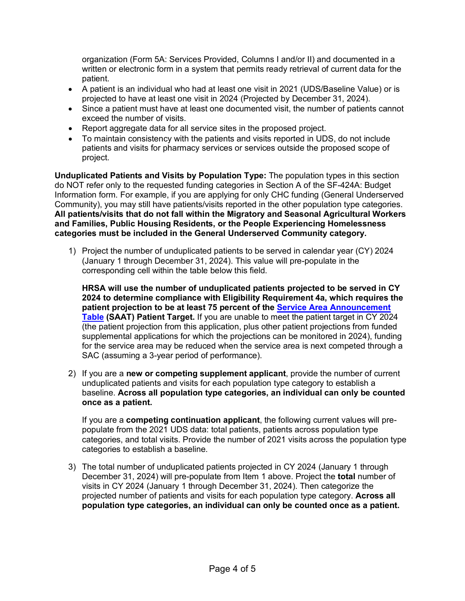organization (Form 5A: Services Provided, Columns I and/or II) and documented in a written or electronic form in a system that permits ready retrieval of current data for the patient.

- A patient is an individual who had at least one visit in 2021 (UDS/Baseline Value) or is projected to have at least one visit in 2024 (Projected by December 31, 2024).
- Since a patient must have at least one documented visit, the number of patients cannot exceed the number of visits.
- Report aggregate data for all service sites in the proposed project.
- To maintain consistency with the patients and visits reported in UDS, do not include patients and visits for pharmacy services or services outside the proposed scope of project.

**Unduplicated Patients and Visits by Population Type:** The population types in this section do NOT refer only to the requested funding categories in Section A of the SF-424A: Budget Information form. For example, if you are applying for only CHC funding (General Underserved Community), you may still have patients/visits reported in the other population type categories. **All patients/visits that do not fall within the Migratory and Seasonal Agricultural Workers and Families, Public Housing Residents, or the People Experiencing Homelessness categories must be included in the General Underserved Community category.**

1) Project the number of unduplicated patients to be served in calendar year (CY) 2024 (January 1 through December 31, 2024). This value will pre-populate in the corresponding cell within the table below this field.

**HRSA will use the number of unduplicated patients projected to be served in CY 2024 to determine compliance with Eligibility Requirement 4a, which requires the patient projection to be at least 75 percent of the [Service Area Announcement](https://bphc.hrsa.gov/sac/)  [Table](https://bphc.hrsa.gov/sac/) (SAAT) Patient Target.** If you are unable to meet the patient target in CY 2024 (the patient projection from this application, plus other patient projections from funded supplemental applications for which the projections can be monitored in 2024), funding for the service area may be reduced when the service area is next competed through a SAC (assuming a 3-year period of performance).

2) If you are a **new or competing supplement applicant**, provide the number of current unduplicated patients and visits for each population type category to establish a baseline. **Across all population type categories, an individual can only be counted once as a patient.**

If you are a **competing continuation applicant**, the following current values will prepopulate from the 2021 UDS data: total patients, patients across population type categories, and total visits. Provide the number of 2021 visits across the population type categories to establish a baseline.

3) The total number of unduplicated patients projected in CY 2024 (January 1 through December 31, 2024) will pre-populate from Item 1 above. Project the **total** number of visits in CY 2024 (January 1 through December 31, 2024). Then categorize the projected number of patients and visits for each population type category. **Across all population type categories, an individual can only be counted once as a patient.**